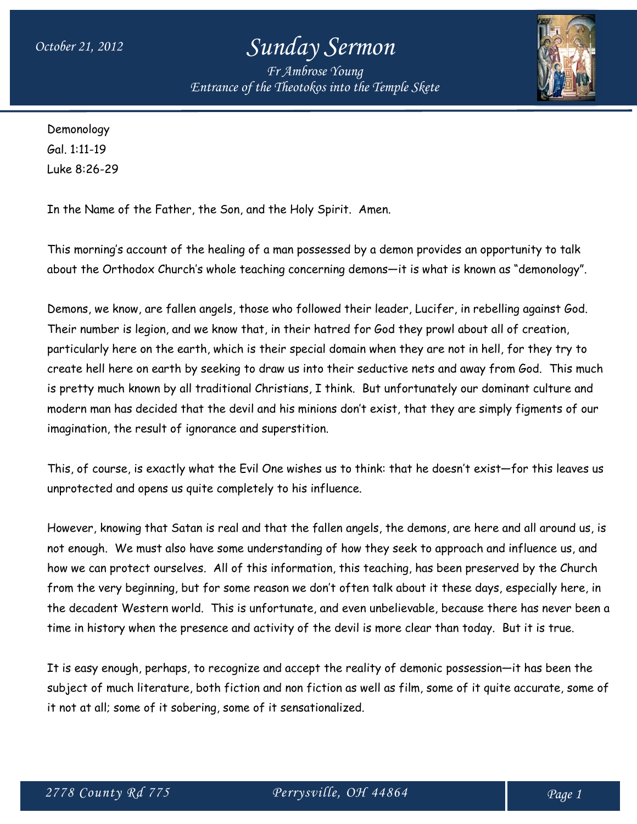*Fr Ambrose Young Entrance of the Theotokos into the Temple Skete*



Demonology Gal. 1:11-19 Luke 8:26-29

In the Name of the Father, the Son, and the Holy Spirit. Amen.

This morning's account of the healing of a man possessed by a demon provides an opportunity to talk about the Orthodox Church's whole teaching concerning demons—it is what is known as "demonology".

Demons, we know, are fallen angels, those who followed their leader, Lucifer, in rebelling against God. Their number is legion, and we know that, in their hatred for God they prowl about all of creation, particularly here on the earth, which is their special domain when they are not in hell, for they try to create hell here on earth by seeking to draw us into their seductive nets and away from God. This much is pretty much known by all traditional Christians, I think. But unfortunately our dominant culture and modern man has decided that the devil and his minions don't exist, that they are simply figments of our imagination, the result of ignorance and superstition.

This, of course, is exactly what the Evil One wishes us to think: that he doesn't exist—for this leaves us unprotected and opens us quite completely to his influence.

However, knowing that Satan is real and that the fallen angels, the demons, are here and all around us, is not enough. We must also have some understanding of how they seek to approach and influence us, and how we can protect ourselves. All of this information, this teaching, has been preserved by the Church from the very beginning, but for some reason we don't often talk about it these days, especially here, in the decadent Western world. This is unfortunate, and even unbelievable, because there has never been a time in history when the presence and activity of the devil is more clear than today. But it is true.

It is easy enough, perhaps, to recognize and accept the reality of demonic possession—it has been the subject of much literature, both fiction and non fiction as well as film, some of it quite accurate, some of it not at all; some of it sobering, some of it sensationalized.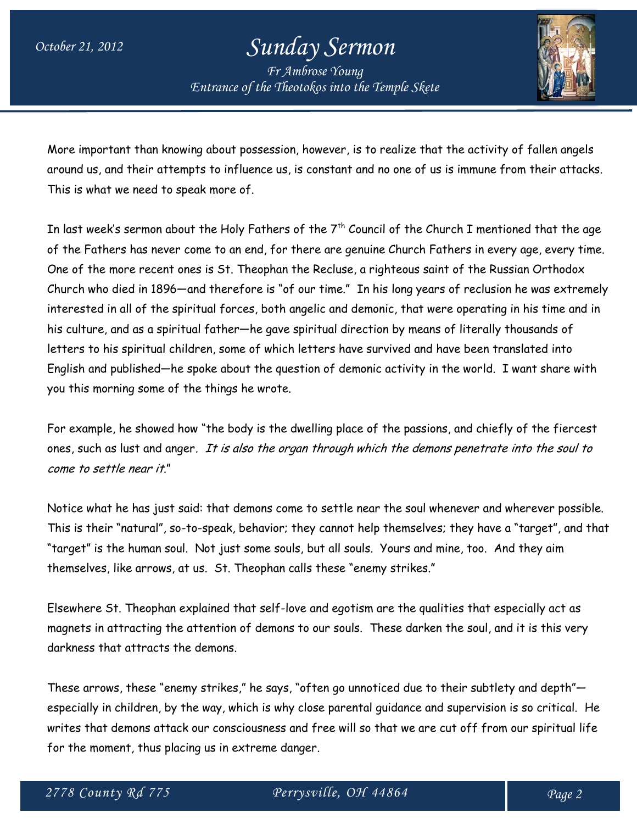*Fr Ambrose Young Entrance of the Theotokos into the Temple Skete*



More important than knowing about possession, however, is to realize that the activity of fallen angels around us, and their attempts to influence us, is constant and no one of us is immune from their attacks. This is what we need to speak more of.

In last week's sermon about the Holy Fathers of the  $7<sup>th</sup>$  Council of the Church I mentioned that the age of the Fathers has never come to an end, for there are genuine Church Fathers in every age, every time. One of the more recent ones is St. Theophan the Recluse, a righteous saint of the Russian Orthodox Church who died in 1896—and therefore is "of our time." In his long years of reclusion he was extremely interested in all of the spiritual forces, both angelic and demonic, that were operating in his time and in his culture, and as a spiritual father—he gave spiritual direction by means of literally thousands of letters to his spiritual children, some of which letters have survived and have been translated into English and published—he spoke about the question of demonic activity in the world. I want share with you this morning some of the things he wrote.

For example, he showed how "the body is the dwelling place of the passions, and chiefly of the fiercest ones, such as lust and anger. It is also the organ through which the demons penetrate into the soul to come to settle near it."

Notice what he has just said: that demons come to settle near the soul whenever and wherever possible. This is their "natural", so-to-speak, behavior; they cannot help themselves; they have a "target", and that "target" is the human soul. Not just some souls, but all souls. Yours and mine, too. And they aim themselves, like arrows, at us. St. Theophan calls these "enemy strikes."

Elsewhere St. Theophan explained that self-love and egotism are the qualities that especially act as magnets in attracting the attention of demons to our souls. These darken the soul, and it is this very darkness that attracts the demons.

These arrows, these "enemy strikes," he says, "often go unnoticed due to their subtlety and depth" especially in children, by the way, which is why close parental guidance and supervision is so critical. He writes that demons attack our consciousness and free will so that we are cut off from our spiritual life for the moment, thus placing us in extreme danger.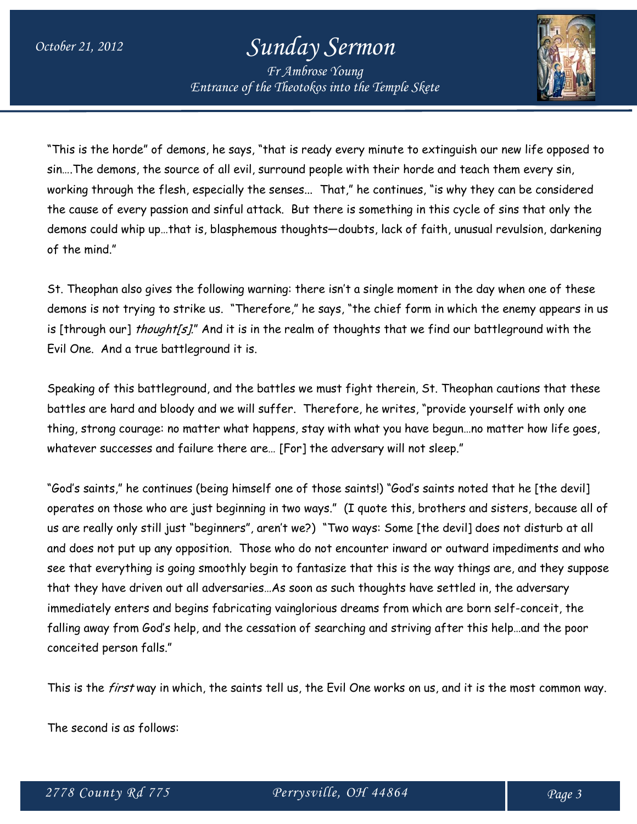*Fr Ambrose Young Entrance of the Theotokos into the Temple Skete*



"This is the horde" of demons, he says, "that is ready every minute to extinguish our new life opposed to sin….The demons, the source of all evil, surround people with their horde and teach them every sin, working through the flesh, especially the senses... That," he continues, "is why they can be considered the cause of every passion and sinful attack. But there is something in this cycle of sins that only the demons could whip up…that is, blasphemous thoughts—doubts, lack of faith, unusual revulsion, darkening of the mind."

St. Theophan also gives the following warning: there isn't a single moment in the day when one of these demons is not trying to strike us. "Therefore," he says, "the chief form in which the enemy appears in us is [through our] thought[s]." And it is in the realm of thoughts that we find our battleground with the Evil One. And a true battleground it is.

Speaking of this battleground, and the battles we must fight therein, St. Theophan cautions that these battles are hard and bloody and we will suffer. Therefore, he writes, "provide yourself with only one thing, strong courage: no matter what happens, stay with what you have begun…no matter how life goes, whatever successes and failure there are… [For] the adversary will not sleep."

"God's saints," he continues (being himself one of those saints!) "God's saints noted that he [the devil] operates on those who are just beginning in two ways." (I quote this, brothers and sisters, because all of us are really only still just "beginners", aren't we?) "Two ways: Some [the devil] does not disturb at all and does not put up any opposition. Those who do not encounter inward or outward impediments and who see that everything is going smoothly begin to fantasize that this is the way things are, and they suppose that they have driven out all adversaries…As soon as such thoughts have settled in, the adversary immediately enters and begins fabricating vainglorious dreams from which are born self-conceit, the falling away from God's help, and the cessation of searching and striving after this help…and the poor conceited person falls."

This is the *first* way in which, the saints tell us, the Evil One works on us, and it is the most common way.

The second is as follows: